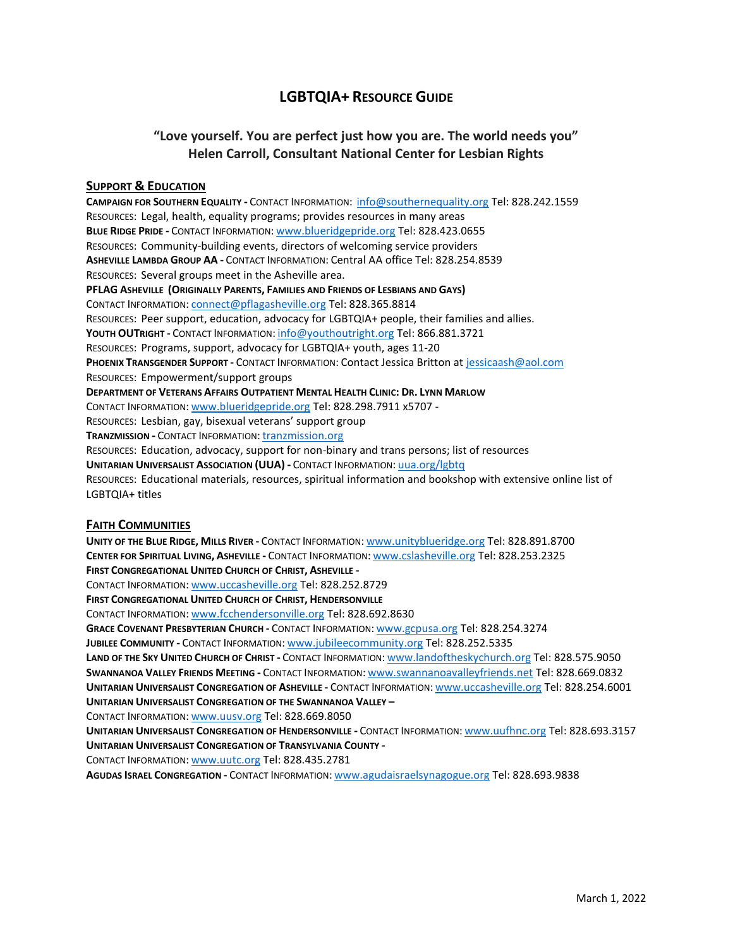# **LGBTQIA+ RESOURCE GUIDE**

# **"Love yourself. You are perfect just how you are. The world needs you" Helen Carroll, Consultant National Center for Lesbian Rights**

## **SUPPORT & EDUCATION**

**CAMPAIGN FOR SOUTHERN EQUALITY -** CONTACT INFORMATION:[info@southernequality.org](mailto:info@southernequality.org) Tel: 828.242.1559 RESOURCES: Legal, health, equality programs; provides resources in many areas **BLUE RIDGE PRIDE -** CONTACT INFORMATION: [www.blueridgepride.org](http://www.blueridgepride.org/) Tel: 828.423.0655 RESOURCES: Community-building events, directors of welcoming service providers **ASHEVILLE LAMBDA GROUP AA -** CONTACT INFORMATION: Central AA office Tel: 828.254.8539 RESOURCES: Several groups meet in the Asheville area. **PFLAG ASHEVILLE (ORIGINALLY PARENTS, FAMILIES AND FRIENDS OF LESBIANS AND GAYS)** CONTACT INFORMATION: [connect@pflagasheville.org](mailto:connect@pflagasheville.org) Tel: 828.365.8814 RESOURCES: Peer support, education, advocacy for LGBTQIA+ people, their families and allies. **YOUTH OUTRIGHT -** CONTACT INFORMATION: [info@youthoutright.org](mailto:info@youthoutright.org) Tel: 866.881.3721 RESOURCES: Programs, support, advocacy for LGBTQIA+ youth, ages 11-20 **PHOENIX TRANSGENDER SUPPORT -** CONTACT INFORMATION: Contact Jessica Britton a[t jessicaash@aol.com](mailto:jessicaash@aol.com) RESOURCES: Empowerment/support groups DEPARTMENT OF VETERANS AFFAIRS OUTPATIENT MENTAL HEALTH CLINIC: DR. LYNN MARLOW CONTACT INFORMATION: [www.blueridgepride.org](http://www.blueridgepride.org/) Tel: 828.298.7911 x5707 - RESOURCES: Lesbian, gay, bisexual veterans' support group **TRANZMISSION -** CONTACT INFORMATION: [tranzmission.org](http://www.blueridgepride.org/) RESOURCES: Education, advocacy, support for non-binary and trans persons; list of resources **UNITARIAN UNIVERSALIST ASSOCIATION (UUA) -** CONTACT INFORMATION: [uua.org/lgbtq](http://www.blueridgepride.org/) RESOURCES: Educational materials, resources, spiritual information and bookshop with extensive online list of LGBTQIA+ titles

## **FAITH COMMUNITIES**

**UNITY OF THE BLUE RIDGE, MILLS RIVER -** CONTACT INFORMATION: [www.unityblueridge.org](http://www.unityblueridge.org/) Tel: 828.891.8700 **CENTER FOR SPIRITUAL LIVING, ASHEVILLE -** CONTACT INFORMATION: [www.cslasheville.org](http://www.cslasheville.org/) Tel: 828.253.2325 **FIRST CONGREGATIONAL UNITED CHURCH OF CHRIST, ASHEVILLE -** CONTACT INFORMATION: [www.uccasheville.org](http://www.uccasheville.org/) Tel: 828.252.8729 **FIRST CONGREGATIONAL UNITED CHURCH OF CHRIST, HENDERSONVILLE** CONTACT INFORMATION: [www.fcchendersonville.org](http://www.fcchendersonville.org/) Tel: 828.692.8630 **GRACE COVENANT PRESBYTERIAN CHURCH -** CONTACT INFORMATION: [www.gcpusa.org](http://www.gcpusa.org/) Tel: 828.254.3274 **JUBILEE COMMUNITY -** CONTACT INFORMATION: [www.jubileecommunity.org](http://www.jubileecommunity.org/) Tel: 828.252.5335 **LAND OF THE SKY UNITED CHURCH OF CHRIST -** CONTACT INFORMATION: [www.landoftheskychurch.org](http://www.landoftheskychurch.org/) Tel: 828.575.9050 **SWANNANOA VALLEY FRIENDS MEETING -** CONTACT INFORMATION: [www.swannanoavalleyfriends.net](http://www.swannanoavalleyfriends.net/) Tel: 828.669.0832 **UNITARIAN UNIVERSALIST CONGREGATION OF ASHEVILLE -** CONTACT INFORMATION: [www.uccasheville.org](http://www.uccasheville.org/) Tel: 828.254.6001 **UNITARIAN UNIVERSALIST CONGREGATION OF THE SWANNANOA VALLEY –** CONTACT INFORMATION: [www.uusv.org](http://www.uusv.org/) Tel: 828.669.8050 **UNITARIAN UNIVERSALIST CONGREGATION OF HENDERSONVILLE -** CONTACT INFORMATION: [www.uufhnc.org](http://www.uufhnc.org/) Tel: 828.693.3157

**UNITARIAN UNIVERSALIST CONGREGATION OF TRANSYLVANIA COUNTY -**

CONTACT INFORMATION: [www.uutc.org](http://www.uutc.org/) Tel: 828.435.2781

**AGUDAS ISRAEL CONGREGATION -** CONTACT INFORMATION: [www.agudaisraelsynagogue.org](http://www.agudaisraelsynagogue.org/) Tel: 828.693.9838